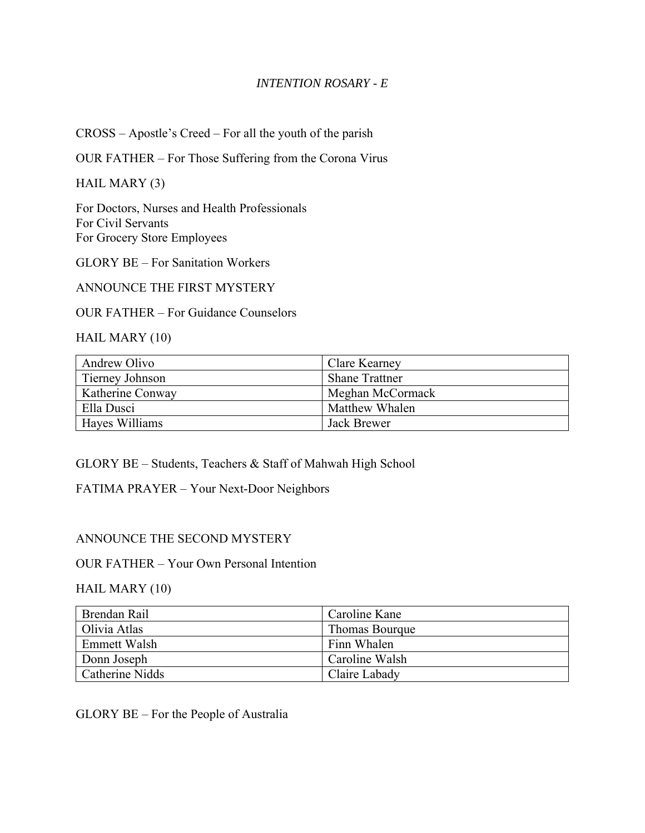## *INTENTION ROSARY - E*

CROSS – Apostle's Creed – For all the youth of the parish

OUR FATHER – For Those Suffering from the Corona Virus

HAIL MARY (3)

For Doctors, Nurses and Health Professionals For Civil Servants For Grocery Store Employees

GLORY BE – For Sanitation Workers

ANNOUNCE THE FIRST MYSTERY

OUR FATHER – For Guidance Counselors

HAIL MARY (10)

| Andrew Olivo     | Clare Kearney         |
|------------------|-----------------------|
| Tierney Johnson  | <b>Shane Trattner</b> |
| Katherine Conway | Meghan McCormack      |
| Ella Dusci       | Matthew Whalen        |
| Hayes Williams   | <b>Jack Brewer</b>    |

GLORY BE – Students, Teachers & Staff of Mahwah High School

FATIMA PRAYER – Your Next-Door Neighbors

## ANNOUNCE THE SECOND MYSTERY

OUR FATHER – Your Own Personal Intention

#### HAIL MARY (10)

| Brendan Rail    | Caroline Kane  |
|-----------------|----------------|
| Olivia Atlas    | Thomas Bourque |
| Emmett Walsh    | Finn Whalen    |
| Donn Joseph     | Caroline Walsh |
| Catherine Nidds | Claire Labady  |

GLORY BE – For the People of Australia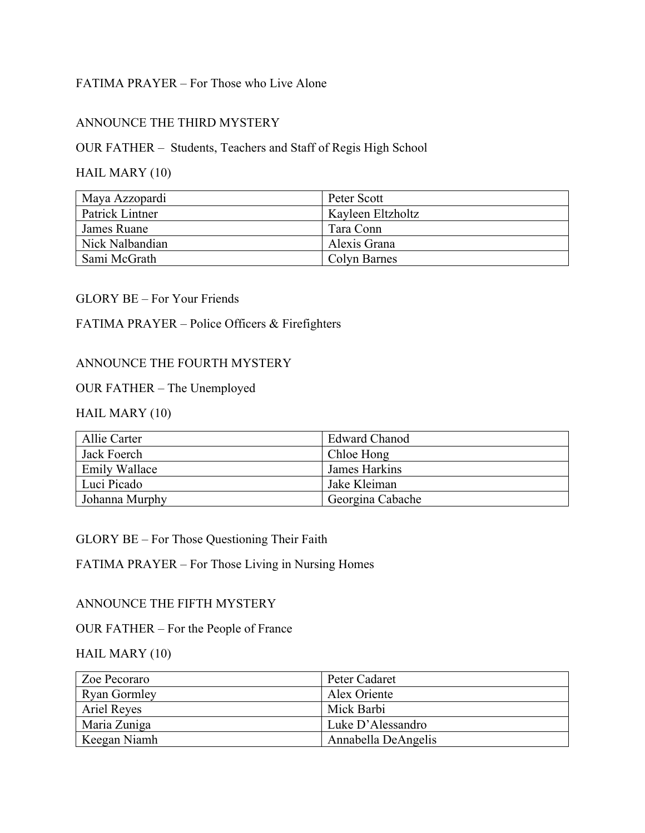# FATIMA PRAYER – For Those who Live Alone

## ANNOUNCE THE THIRD MYSTERY

# OUR FATHER – Students, Teachers and Staff of Regis High School

# HAIL MARY (10)

| Maya Azzopardi  | Peter Scott       |
|-----------------|-------------------|
| Patrick Lintner | Kayleen Eltzholtz |
| James Ruane     | Tara Conn         |
| Nick Nalbandian | Alexis Grana      |
| Sami McGrath    | Colyn Barnes      |

#### GLORY BE – For Your Friends

## FATIMA PRAYER – Police Officers & Firefighters

### ANNOUNCE THE FOURTH MYSTERY

## OUR FATHER – The Unemployed

# HAIL MARY (10)

| Allie Carter         | Edward Chanod    |
|----------------------|------------------|
| Jack Foerch          | Chloe Hong       |
| <b>Emily Wallace</b> | James Harkins    |
| Luci Picado          | Jake Kleiman     |
| Johanna Murphy       | Georgina Cabache |

#### GLORY BE – For Those Questioning Their Faith

# FATIMA PRAYER – For Those Living in Nursing Homes

#### ANNOUNCE THE FIFTH MYSTERY

## OUR FATHER – For the People of France

### HAIL MARY (10)

| Zoe Pecoraro        | Peter Cadaret       |
|---------------------|---------------------|
| <b>Ryan Gormley</b> | Alex Oriente        |
| Ariel Reyes         | Mick Barbi          |
| Maria Zuniga        | Luke D'Alessandro   |
| Keegan Niamh        | Annabella DeAngelis |